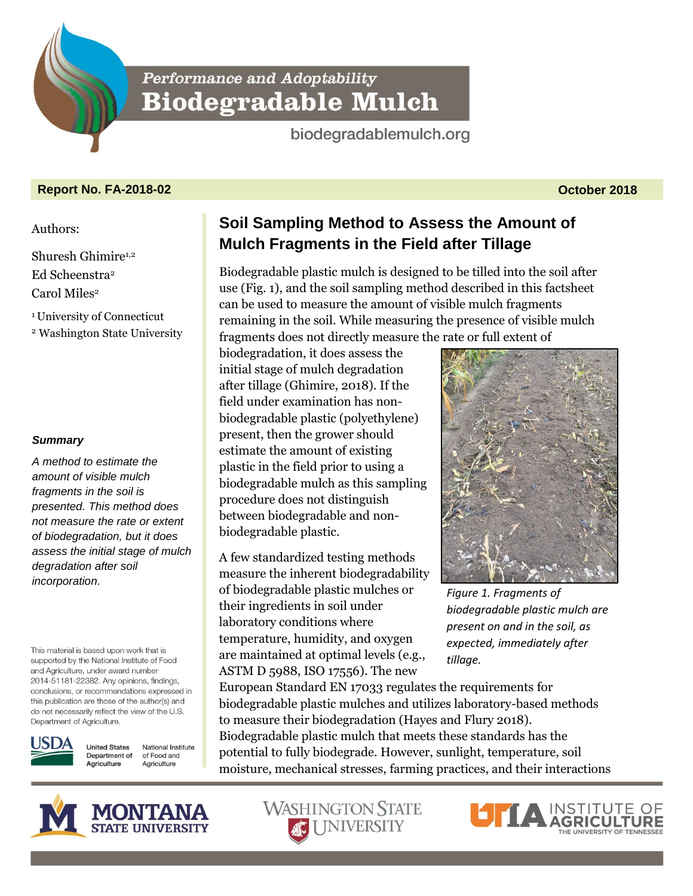**Performance and Adoptability Biodegradable Mulch** 

biodegradablemulch.org

# **Report No. FA-2018-02 October 2018**

#### Authors:

Shuresh Ghimire1,2 Ed Scheenstra<sup>2</sup> Carol Miles<sup>2</sup>

<sup>1</sup>University of Connecticut

<sup>2</sup> Washington State University

## *Summary*

*A method to estimate the amount of visible mulch fragments in the soil is presented. This method does not measure the rate or extent of biodegradation, but it does assess the initial stage of mulch degradation after soil incorporation.* 

This material is based upon work that is supported by the National Institute of Food and Agriculture, under award number 2014-51181-22382. Any opinions, findings, conclusions, or recommendations expressed in this publication are those of the author(s) and do not necessarily reflect the view of the U.S. Department of Agriculture.



**United States** National Institute Department of of Food and Agriculture Agriculture

# **Soil Sampling Method to Assess the Amount of Mulch Fragments in the Field after Tillage**

Biodegradable plastic mulch is designed to be tilled into the soil after use (Fig. 1), and the soil sampling method described in this factsheet can be used to measure the amount of visible mulch fragments remaining in the soil. While measuring the presence of visible mulch fragments does not directly measure the rate or full extent of

biodegradation, it does assess the initial stage of mulch degradation after tillage (Ghimire, 2018). If the field under examination has nonbiodegradable plastic (polyethylene) present, then the grower should estimate the amount of existing plastic in the field prior to using a biodegradable mulch as this sampling procedure does not distinguish between biodegradable and nonbiodegradable plastic.

A few standardized testing methods measure the inherent biodegradability of biodegradable plastic mulches or their ingredients in soil under laboratory conditions where temperature, humidity, and oxygen are maintained at optimal levels (e.g., ASTM D 5988, ISO 17556). The new

*Figure 1. Fragments of biodegradable plastic mulch are present on and in the soil, as expected, immediately after tillage.* 

European Standard EN 17033 regulates the requirements for biodegradable plastic mulches and utilizes laboratory-based methods to measure their biodegradation (Hayes and Flury 2018). Biodegradable plastic mulch that meets these standards has the potential to fully biodegrade. However, sunlight, temperature, soil moisture, mechanical stresses, farming practices, and their interactions





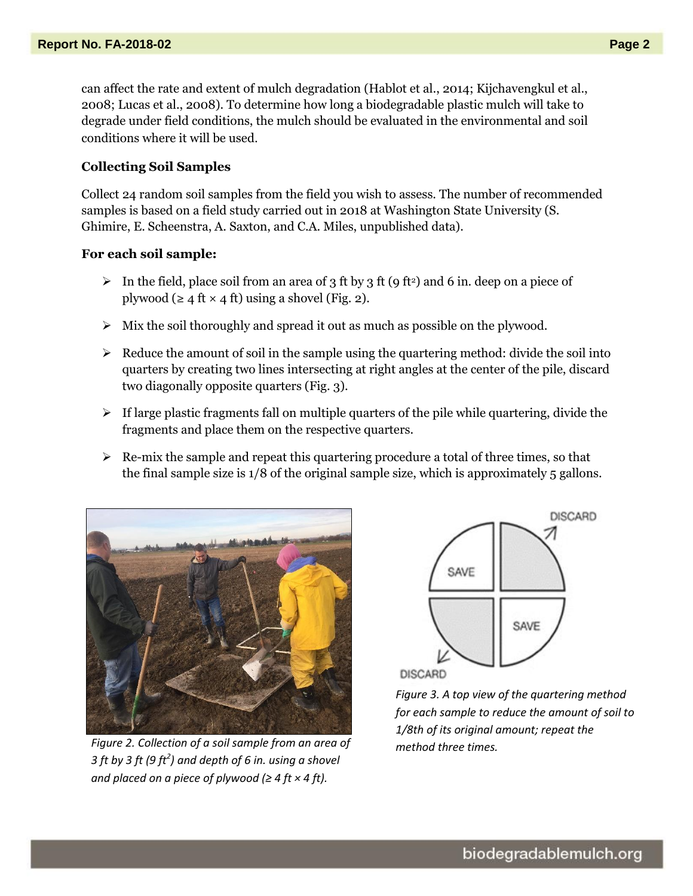can affect the rate and extent of mulch degradation (Hablot et al., 2014; Kijchavengkul et al., 2008; Lucas et al., 2008). To determine how long a biodegradable plastic mulch will take to degrade under field conditions, the mulch should be evaluated in the environmental and soil conditions where it will be used.

### **Collecting Soil Samples**

Collect 24 random soil samples from the field you wish to assess. The number of recommended samples is based on a field study carried out in 2018 at Washington State University (S. Ghimire, E. Scheenstra, A. Saxton, and C.A. Miles, unpublished data).

#### **For each soil sample:**

- In the field, place soil from an area of 3 ft by 3 ft (9 ft<sup>2</sup>) and 6 in. deep on a piece of plywood (≥ 4 ft  $\times$  4 ft) using a shovel (Fig. 2).
- $\triangleright$  Mix the soil thoroughly and spread it out as much as possible on the plywood.
- $\triangleright$  Reduce the amount of soil in the sample using the quartering method: divide the soil into quarters by creating two lines intersecting at right angles at the center of the pile, discard two diagonally opposite quarters (Fig. 3).
- $\triangleright$  If large plastic fragments fall on multiple quarters of the pile while quartering, divide the fragments and place them on the respective quarters.
- $\triangleright$  Re-mix the sample and repeat this quartering procedure a total of three times, so that the final sample size is 1/8 of the original sample size, which is approximately 5 gallons.



*Figure 2. Collection of a soil sample from an area of 3 ft by 3 ft (9 ft<sup>2</sup> ) and depth of 6 in. using a shovel and placed on a piece of plywood (* $\geq 4$  *ft*  $\times 4$  *ft).* 



**DISCARD** 

*Figure 3. A top view of the quartering method for each sample to reduce the amount of soil to 1/8th of its original amount; repeat the method three times.*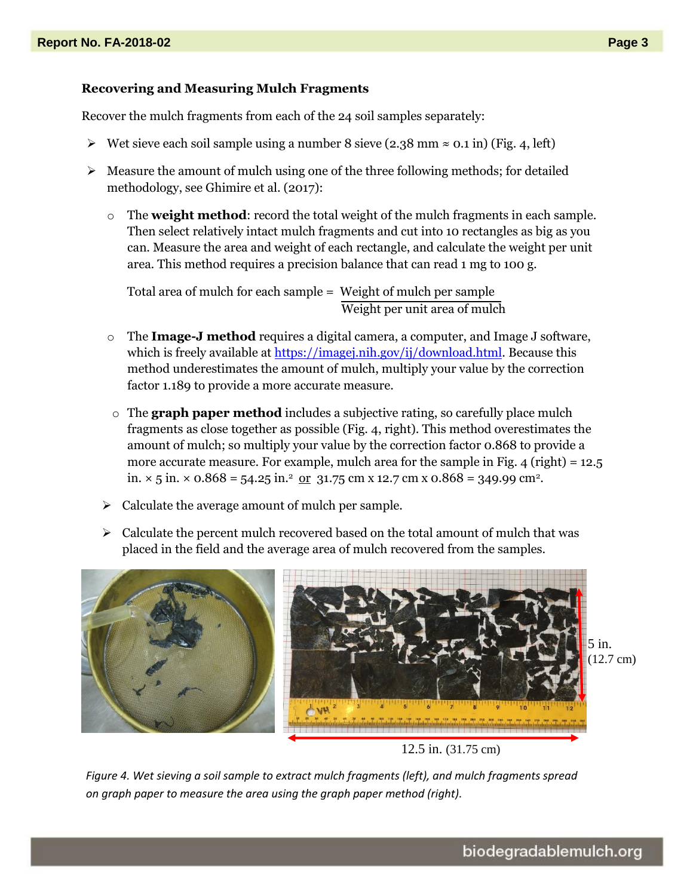#### **Recovering and Measuring Mulch Fragments**

Recover the mulch fragments from each of the 24 soil samples separately:

- $\triangleright$  Wet sieve each soil sample using a number 8 sieve (2.38 mm ≈ 0.1 in) (Fig. 4, left)
- $\triangleright$  Measure the amount of mulch using one of the three following methods; for detailed methodology, see Ghimire et al. (2017):
	- o The **weight method**: record the total weight of the mulch fragments in each sample. Then select relatively intact mulch fragments and cut into 10 rectangles as big as you can. Measure the area and weight of each rectangle, and calculate the weight per unit area. This method requires a precision balance that can read 1 mg to 100 g.

Total area of mulch for each sample = Weight of mulch per sample Weight per unit area of mulch

- o The **Image-J method** requires a digital camera, a computer, and Image J software, which is freely available at [https://imagej.nih.gov/ij/download.html.](https://imagej.nih.gov/ij/download.html3) Because this method underestimates the amount of mulch, multiply your value by the correction factor 1.189 to provide a more accurate measure.
- o The **graph paper method** includes a subjective rating, so carefully place mulch fragments as close together as possible (Fig. 4, right). This method overestimates the amount of mulch; so multiply your value by the correction factor 0.868 to provide a more accurate measure. For example, mulch area for the sample in Fig.  $4$  (right) = 12.5 in.  $\times$  5 in.  $\times$  0.868 = 54.25 in.<sup>2</sup> or 31.75 cm x 12.7 cm x 0.868 = 349.99 cm<sup>2</sup>.
- $\triangleright$  Calculate the average amount of mulch per sample.
- $\triangleright$  Calculate the percent mulch recovered based on the total amount of mulch that was placed in the field and the average area of mulch recovered from the samples.



12.5 in. (31.75 cm)

*Figure 4. Wet sieving a soil sample to extract mulch fragments (left), and mulch fragments spread on graph paper to measure the area using the graph paper method (right).*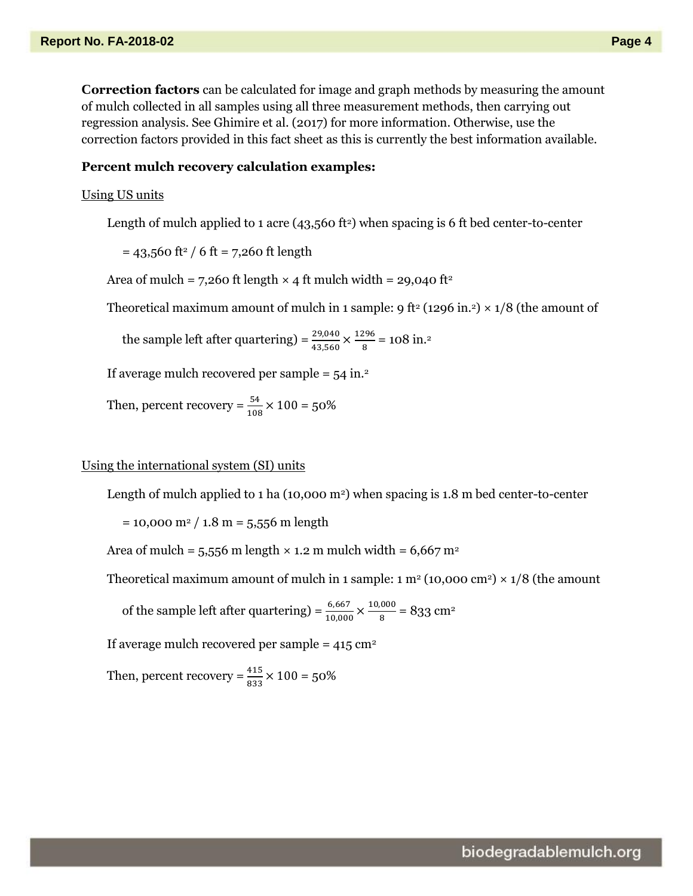**Correction factors** can be calculated for image and graph methods by measuring the amount of mulch collected in all samples using all three measurement methods, then carrying out regression analysis. See Ghimire et al. (2017) for more information. Otherwise, use the correction factors provided in this fact sheet as this is currently the best information available.

#### **Percent mulch recovery calculation examples:**

#### Using US units

Length of mulch applied to 1 acre (43,560 ft<sup>2</sup>) when spacing is 6 ft bed center-to-center

 $= 43,560$  ft<sup>2</sup> / 6 ft = 7,260 ft length

Area of mulch = 7,260 ft length  $\times$  4 ft mulch width = 29,040 ft<sup>2</sup>

Theoretical maximum amount of mulch in 1 sample: 9 ft<sup>2</sup> (1296 in.<sup>2</sup>) × 1/8 (the amount of

the sample left after quartering) =  $\frac{29,040}{43,560} \times \frac{1296}{8}$  $\frac{296}{8}$  = 108 in.<sup>2</sup>

If average mulch recovered per sample  $=$  54 in.<sup>2</sup>

Then, percent recovery =  $\frac{54}{108} \times 100 = 50\%$ 

#### Using the international system (SI) units

Length of mulch applied to 1 ha  $(10,000 \text{ m}^2)$  when spacing is 1.8 m bed center-to-center

 $= 10,000$  m<sup>2</sup> / 1.8 m = 5,556 m length

Area of mulch =  $5,556$  m length  $\times$  1.2 m mulch width =  $6,667$  m<sup>2</sup>

Theoretical maximum amount of mulch in 1 sample: 1  $m^2$  (10,000 cm<sup>2</sup>)  $\times$  1/8 (the amount

of the sample left after quartering) =  $\frac{6,667}{10,000} \times \frac{10,000}{8}$  $\frac{1000}{8}$  = 833 cm<sup>2</sup>

If average mulch recovered per sample =  $415 \text{ cm}^2$ 

Then, percent recovery =  $\frac{415}{833} \times 100 = 50\%$